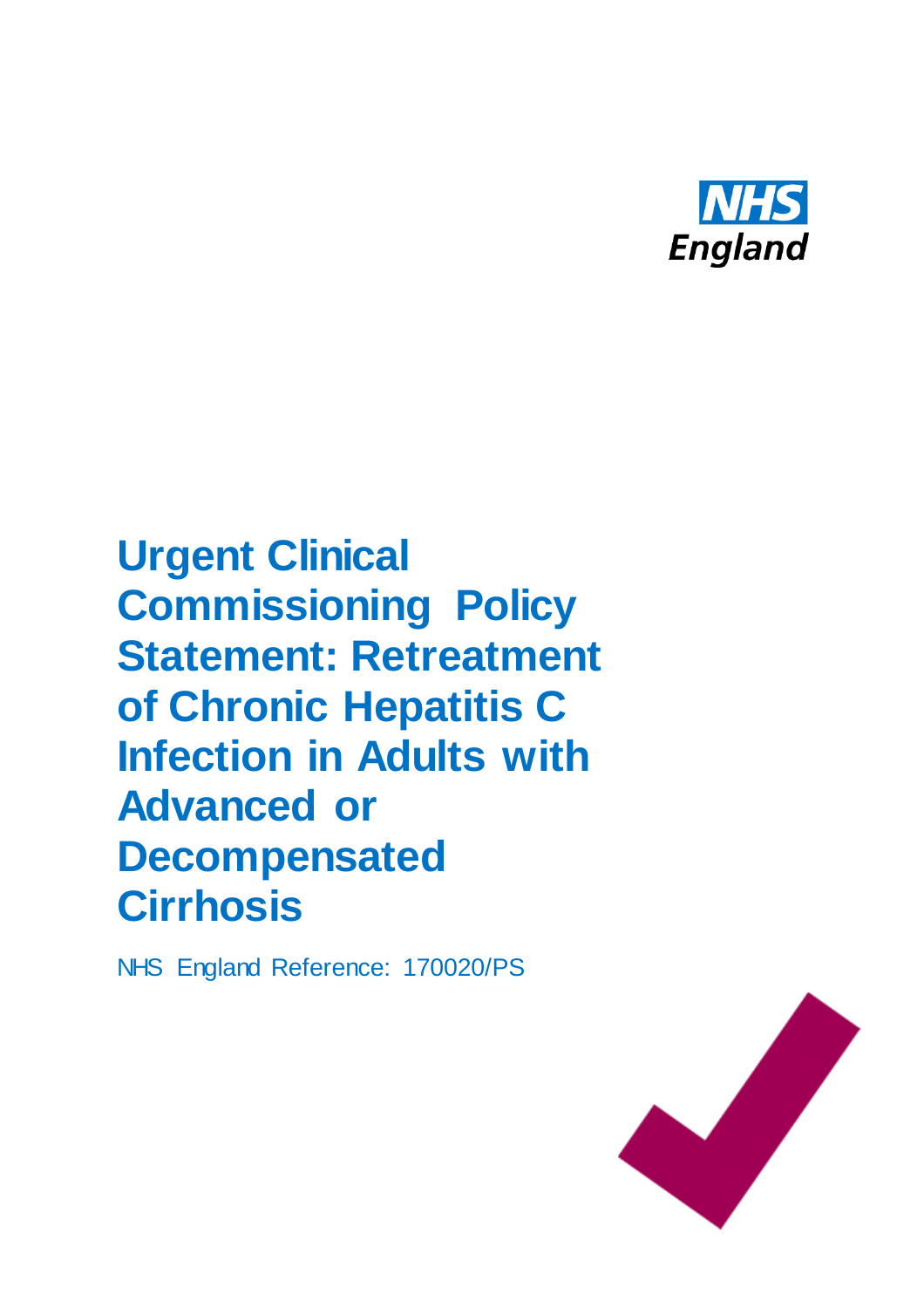

**Urgent Clinical Commissioning Policy Statement: Retreatment of Chronic Hepatitis C Infection in Adults with Advanced or Decompensated Cirrhosis**

NHS England Reference: 170020/PS

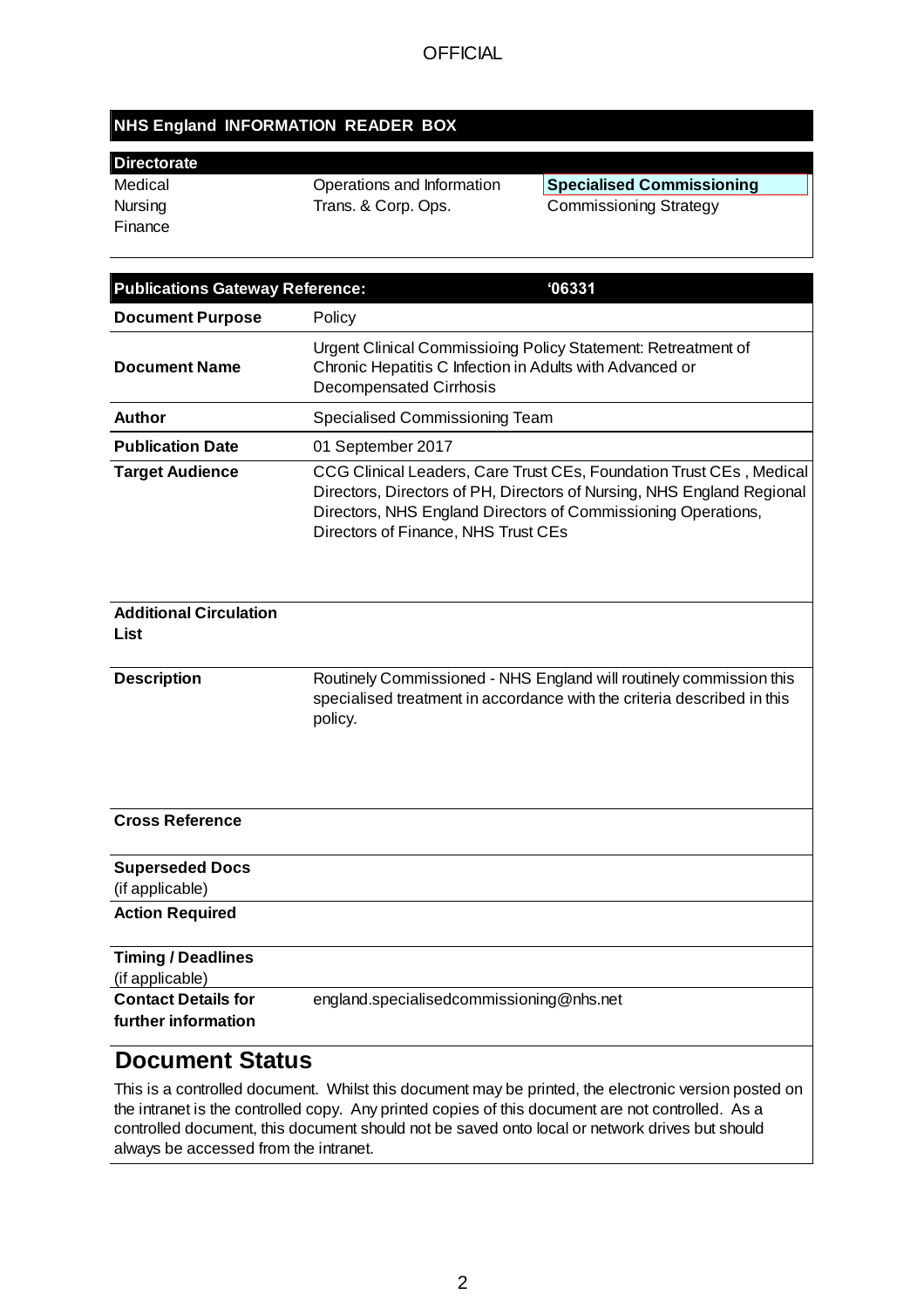## **NHS England INFORMATION READER BOX**

| <b>Directorate</b> |                            |                                  |
|--------------------|----------------------------|----------------------------------|
| Medical            | Operations and Information | <b>Specialised Commissioning</b> |
| Nursing            | Trans. & Corp. Ops.        | <b>Commissioning Strategy</b>    |
| Finance            |                            |                                  |

| <b>Publications Gateway Reference:</b><br>106331  |                                                                                                                                                                                                                                                       |  |
|---------------------------------------------------|-------------------------------------------------------------------------------------------------------------------------------------------------------------------------------------------------------------------------------------------------------|--|
| <b>Document Purpose</b>                           | Policy                                                                                                                                                                                                                                                |  |
| <b>Document Name</b>                              | Urgent Clinical Commissioing Policy Statement: Retreatment of<br>Chronic Hepatitis C Infection in Adults with Advanced or<br><b>Decompensated Cirrhosis</b>                                                                                           |  |
| <b>Author</b>                                     | Specialised Commissioning Team                                                                                                                                                                                                                        |  |
| <b>Publication Date</b>                           | 01 September 2017                                                                                                                                                                                                                                     |  |
| <b>Target Audience</b>                            | CCG Clinical Leaders, Care Trust CEs, Foundation Trust CEs, Medical<br>Directors, Directors of PH, Directors of Nursing, NHS England Regional<br>Directors, NHS England Directors of Commissioning Operations,<br>Directors of Finance, NHS Trust CEs |  |
| <b>Additional Circulation</b><br>List             |                                                                                                                                                                                                                                                       |  |
| <b>Description</b>                                | Routinely Commissioned - NHS England will routinely commission this<br>specialised treatment in accordance with the criteria described in this<br>policy.                                                                                             |  |
| <b>Cross Reference</b>                            |                                                                                                                                                                                                                                                       |  |
| <b>Superseded Docs</b><br>(if applicable)         |                                                                                                                                                                                                                                                       |  |
| <b>Action Required</b>                            |                                                                                                                                                                                                                                                       |  |
| <b>Timing / Deadlines</b><br>(if applicable)      |                                                                                                                                                                                                                                                       |  |
| <b>Contact Details for</b><br>further information | england.specialisedcommissioning@nhs.net                                                                                                                                                                                                              |  |
| <b>Document Status</b>                            |                                                                                                                                                                                                                                                       |  |

This is a controlled document. Whilst this document may be printed, the electronic version posted on the intranet is the controlled copy. Any printed copies of this document are not controlled. As a controlled document, this document should not be saved onto local or network drives but should always be accessed from the intranet.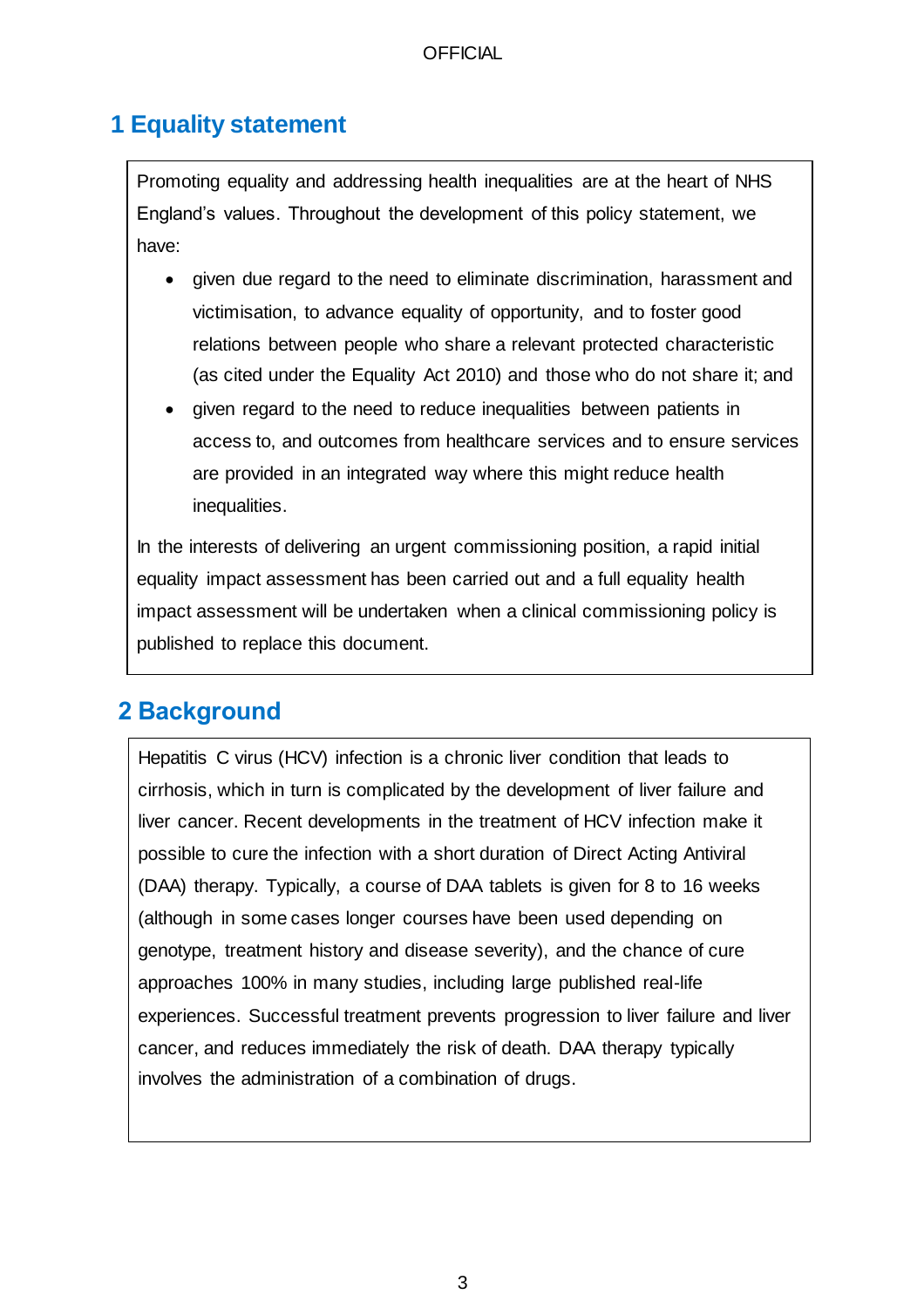# **1 Equality statement**

Promoting equality and addressing health inequalities are at the heart of NHS England's values. Throughout the development of this policy statement, we have:

- given due regard to the need to eliminate discrimination, harassment and victimisation, to advance equality of opportunity, and to foster good relations between people who share a relevant protected characteristic (as cited under the Equality Act 2010) and those who do not share it; and
- given regard to the need to reduce inequalities between patients in access to, and outcomes from healthcare services and to ensure services are provided in an integrated way where this might reduce health inequalities.

In the interests of delivering an urgent commissioning position, a rapid initial equality impact assessment has been carried out and a full equality health impact assessment will be undertaken when a clinical commissioning policy is published to replace this document.

# **2 Background**

Hepatitis C virus (HCV) infection is a chronic liver condition that leads to cirrhosis, which in turn is complicated by the development of liver failure and liver cancer. Recent developments in the treatment of HCV infection make it possible to cure the infection with a short duration of Direct Acting Antiviral (DAA) therapy. Typically, a course of DAA tablets is given for 8 to 16 weeks (although in some cases longer courses have been used depending on genotype, treatment history and disease severity), and the chance of cure approaches 100% in many studies, including large published real-life experiences. Successful treatment prevents progression to liver failure and liver cancer, and reduces immediately the risk of death. DAA therapy typically involves the administration of a combination of drugs.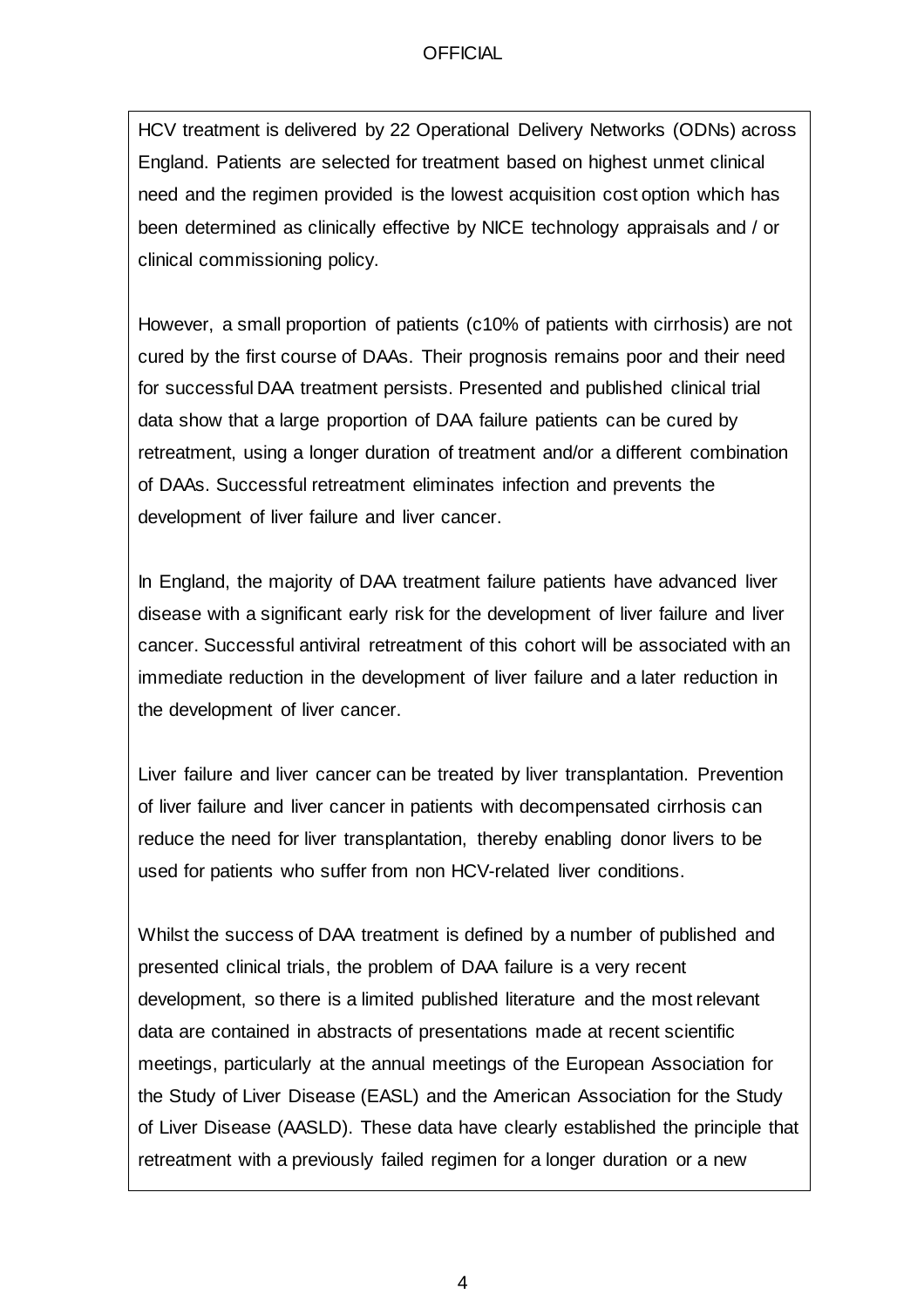HCV treatment is delivered by 22 Operational Delivery Networks (ODNs) across England. Patients are selected for treatment based on highest unmet clinical need and the regimen provided is the lowest acquisition cost option which has been determined as clinically effective by NICE technology appraisals and / or clinical commissioning policy.

However, a small proportion of patients (c10% of patients with cirrhosis) are not cured by the first course of DAAs. Their prognosis remains poor and their need for successful DAA treatment persists. Presented and published clinical trial data show that a large proportion of DAA failure patients can be cured by retreatment, using a longer duration of treatment and/or a different combination of DAAs. Successful retreatment eliminates infection and prevents the development of liver failure and liver cancer.

In England, the majority of DAA treatment failure patients have advanced liver disease with a significant early risk for the development of liver failure and liver cancer. Successful antiviral retreatment of this cohort will be associated with an immediate reduction in the development of liver failure and a later reduction in the development of liver cancer.

Liver failure and liver cancer can be treated by liver transplantation. Prevention of liver failure and liver cancer in patients with decompensated cirrhosis can reduce the need for liver transplantation, thereby enabling donor livers to be used for patients who suffer from non HCV-related liver conditions.

Whilst the success of DAA treatment is defined by a number of published and presented clinical trials, the problem of DAA failure is a very recent development, so there is a limited published literature and the most relevant data are contained in abstracts of presentations made at recent scientific meetings, particularly at the annual meetings of the European Association for the Study of Liver Disease (EASL) and the American Association for the Study of Liver Disease (AASLD). These data have clearly established the principle that retreatment with a previously failed regimen for a longer duration or a new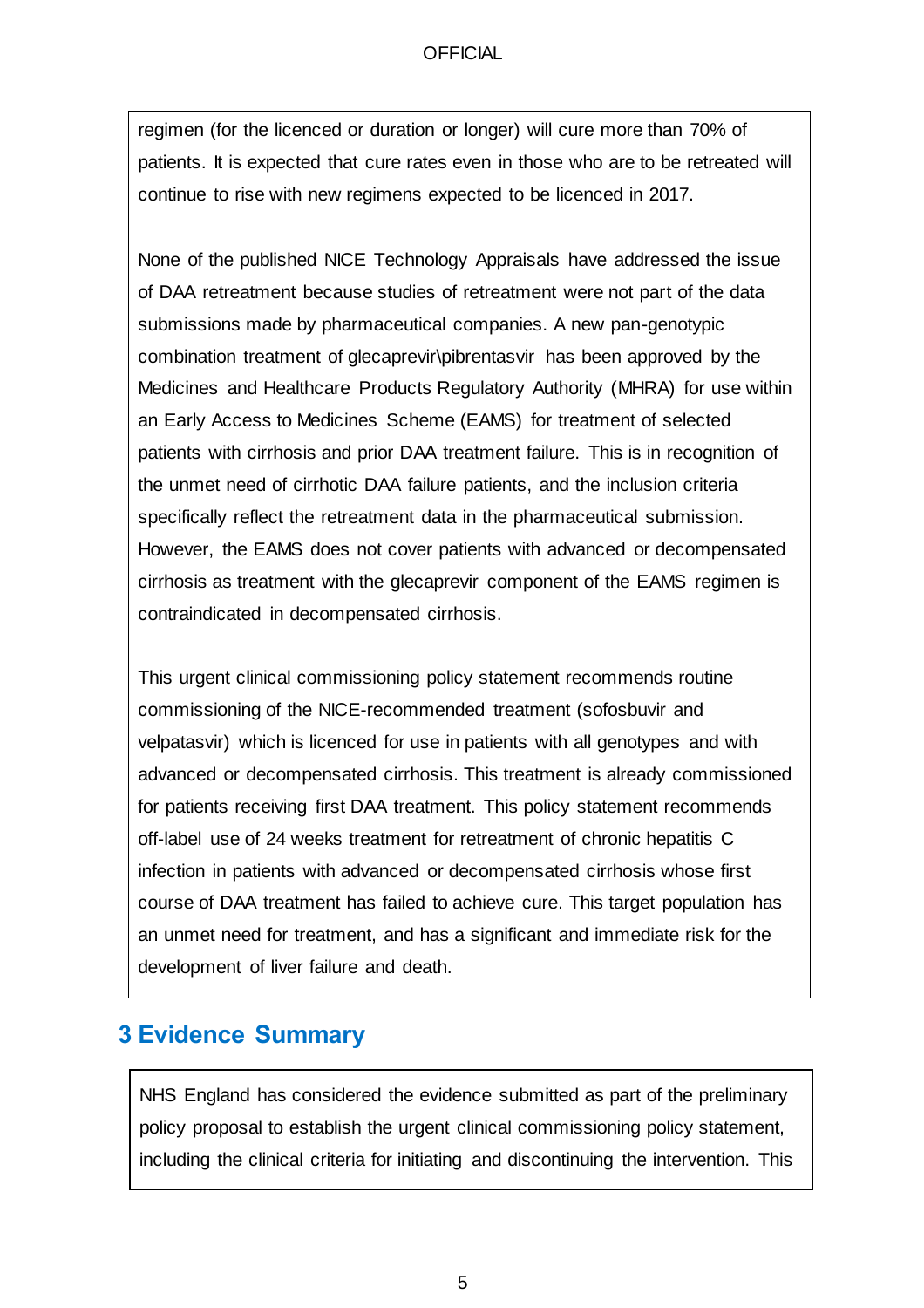regimen (for the licenced or duration or longer) will cure more than 70% of patients. It is expected that cure rates even in those who are to be retreated will continue to rise with new regimens expected to be licenced in 2017.

None of the published NICE Technology Appraisals have addressed the issue of DAA retreatment because studies of retreatment were not part of the data submissions made by pharmaceutical companies. A new pan-genotypic combination treatment of glecaprevir\pibrentasvir has been approved by the Medicines and Healthcare Products Regulatory Authority (MHRA) for use within an Early Access to Medicines Scheme (EAMS) for treatment of selected patients with cirrhosis and prior DAA treatment failure. This is in recognition of the unmet need of cirrhotic DAA failure patients, and the inclusion criteria specifically reflect the retreatment data in the pharmaceutical submission. However, the EAMS does not cover patients with advanced or decompensated cirrhosis as treatment with the glecaprevir component of the EAMS regimen is contraindicated in decompensated cirrhosis.

This urgent clinical commissioning policy statement recommends routine commissioning of the NICE-recommended treatment (sofosbuvir and velpatasvir) which is licenced for use in patients with all genotypes and with advanced or decompensated cirrhosis. This treatment is already commissioned for patients receiving first DAA treatment. This policy statement recommends off-label use of 24 weeks treatment for retreatment of chronic hepatitis C infection in patients with advanced or decompensated cirrhosis whose first course of DAA treatment has failed to achieve cure. This target population has an unmet need for treatment, and has a significant and immediate risk for the development of liver failure and death.

## **3 Evidence Summary**

NHS England has considered the evidence submitted as part of the preliminary policy proposal to establish the urgent clinical commissioning policy statement, including the clinical criteria for initiating and discontinuing the intervention. This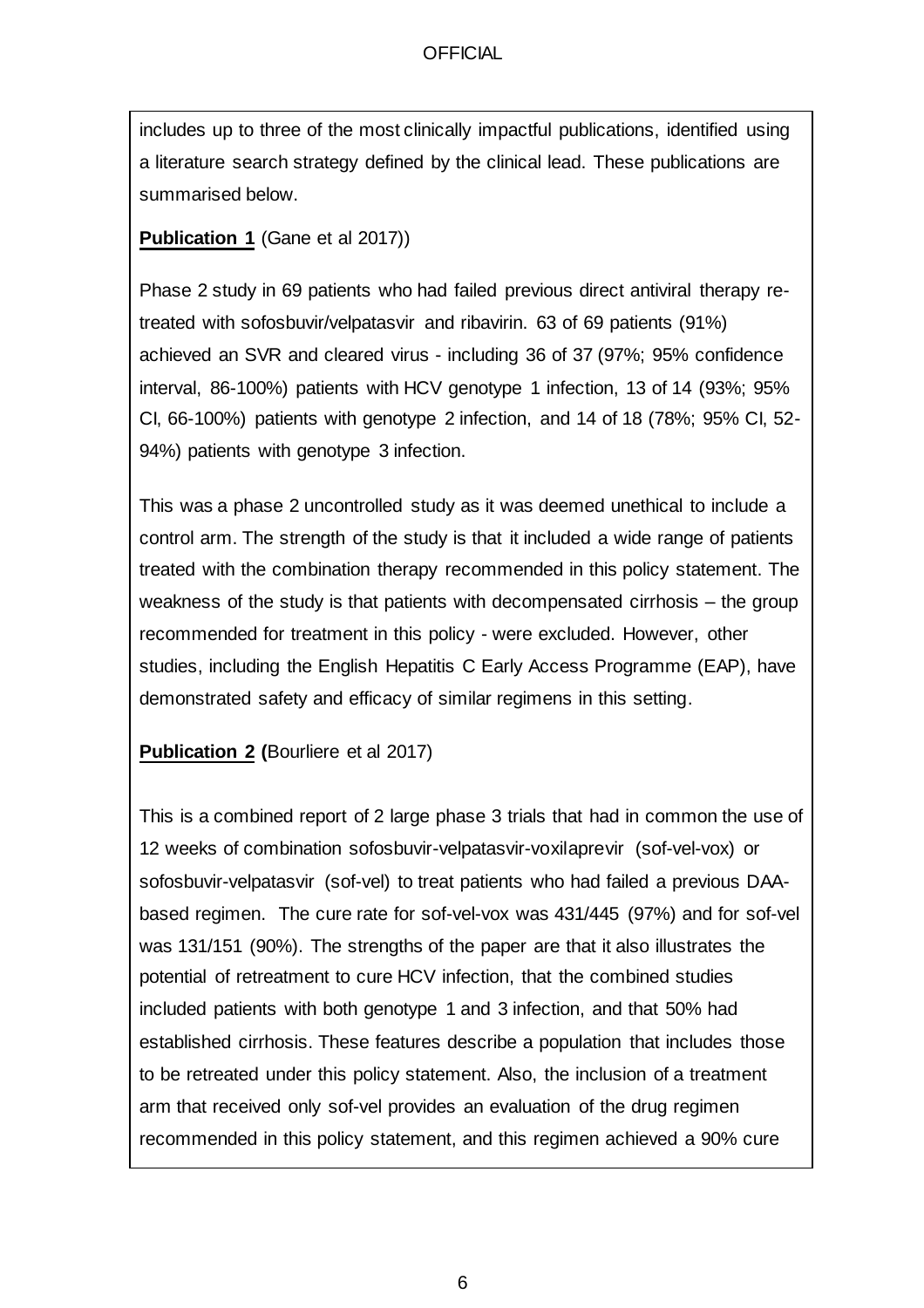includes up to three of the most clinically impactful publications, identified using a literature search strategy defined by the clinical lead. These publications are summarised below.

**Publication 1** (Gane et al 2017))

Phase 2 study in 69 patients who had failed previous direct antiviral therapy retreated with sofosbuvir/velpatasvir and ribavirin. 63 of 69 patients (91%) achieved an SVR and cleared virus - including 36 of 37 (97%; 95% confidence interval, 86-100%) patients with HCV genotype 1 infection, 13 of 14 (93%; 95% CI, 66-100%) patients with genotype 2 infection, and 14 of 18 (78%; 95% CI, 52- 94%) patients with genotype 3 infection.

This was a phase 2 uncontrolled study as it was deemed unethical to include a control arm. The strength of the study is that it included a wide range of patients treated with the combination therapy recommended in this policy statement. The weakness of the study is that patients with decompensated cirrhosis – the group recommended for treatment in this policy - were excluded. However, other studies, including the English Hepatitis C Early Access Programme (EAP), have demonstrated safety and efficacy of similar regimens in this setting.

**Publication 2 (**Bourliere et al 2017)

This is a combined report of 2 large phase 3 trials that had in common the use of 12 weeks of combination sofosbuvir-velpatasvir-voxilaprevir (sof-vel-vox) or sofosbuvir-velpatasvir (sof-vel) to treat patients who had failed a previous DAAbased regimen. The cure rate for sof-vel-vox was 431/445 (97%) and for sof-vel was 131/151 (90%). The strengths of the paper are that it also illustrates the potential of retreatment to cure HCV infection, that the combined studies included patients with both genotype 1 and 3 infection, and that 50% had established cirrhosis. These features describe a population that includes those to be retreated under this policy statement. Also, the inclusion of a treatment arm that received only sof-vel provides an evaluation of the drug regimen recommended in this policy statement, and this regimen achieved a 90% cure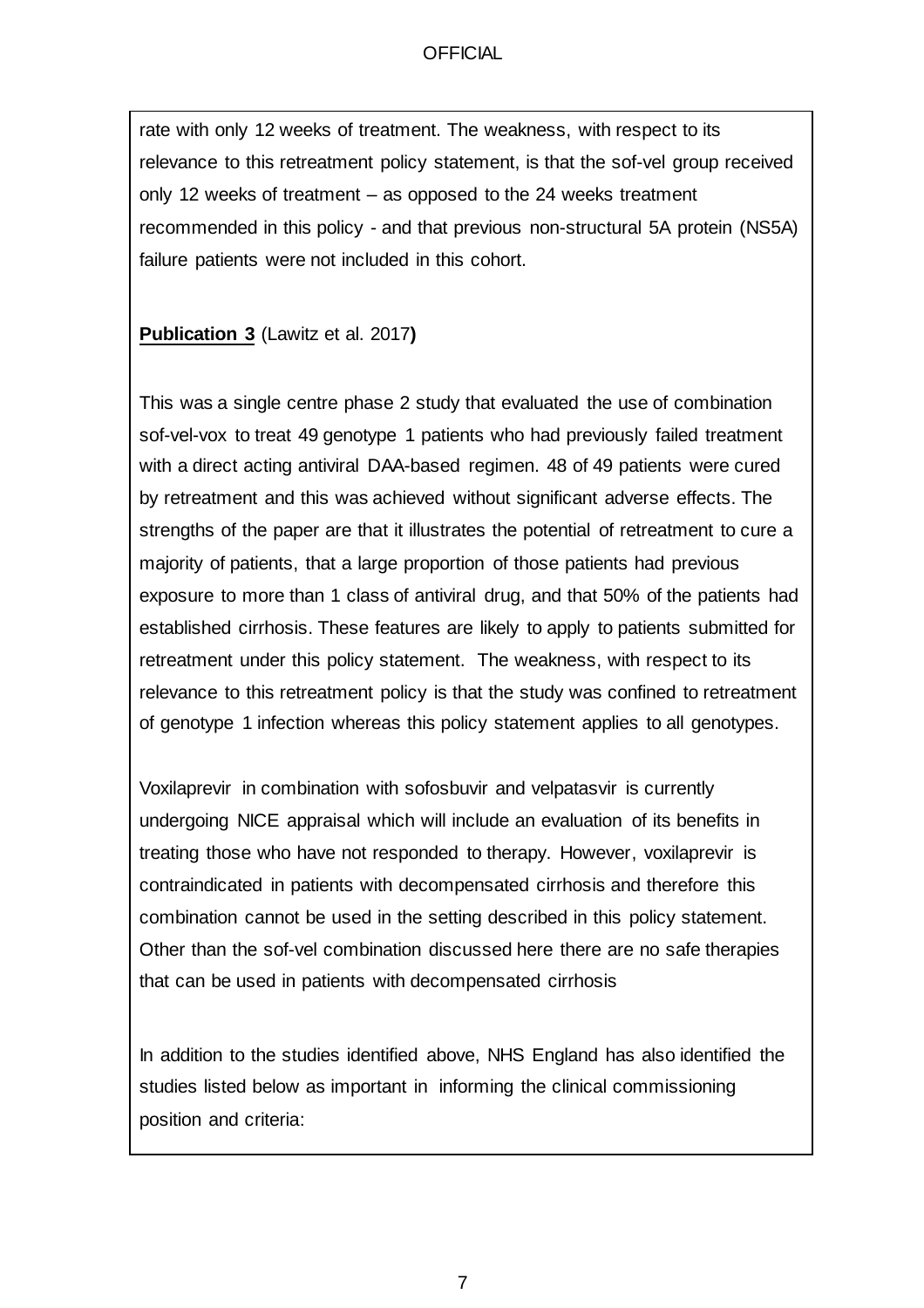rate with only 12 weeks of treatment. The weakness, with respect to its relevance to this retreatment policy statement, is that the sof-vel group received only 12 weeks of treatment – as opposed to the 24 weeks treatment recommended in this policy - and that previous non-structural 5A protein (NS5A) failure patients were not included in this cohort.

**Publication 3** (Lawitz et al. 2017**)**

This was a single centre phase 2 study that evaluated the use of combination sof-vel-vox to treat 49 genotype 1 patients who had previously failed treatment with a direct acting antiviral DAA-based regimen. 48 of 49 patients were cured by retreatment and this was achieved without significant adverse effects. The strengths of the paper are that it illustrates the potential of retreatment to cure a majority of patients, that a large proportion of those patients had previous exposure to more than 1 class of antiviral drug, and that 50% of the patients had established cirrhosis. These features are likely to apply to patients submitted for retreatment under this policy statement. The weakness, with respect to its relevance to this retreatment policy is that the study was confined to retreatment of genotype 1 infection whereas this policy statement applies to all genotypes.

Voxilaprevir in combination with sofosbuvir and velpatasvir is currently undergoing NICE appraisal which will include an evaluation of its benefits in treating those who have not responded to therapy. However, voxilaprevir is contraindicated in patients with decompensated cirrhosis and therefore this combination cannot be used in the setting described in this policy statement. Other than the sof-vel combination discussed here there are no safe therapies that can be used in patients with decompensated cirrhosis

In addition to the studies identified above, NHS England has also identified the studies listed below as important in informing the clinical commissioning position and criteria: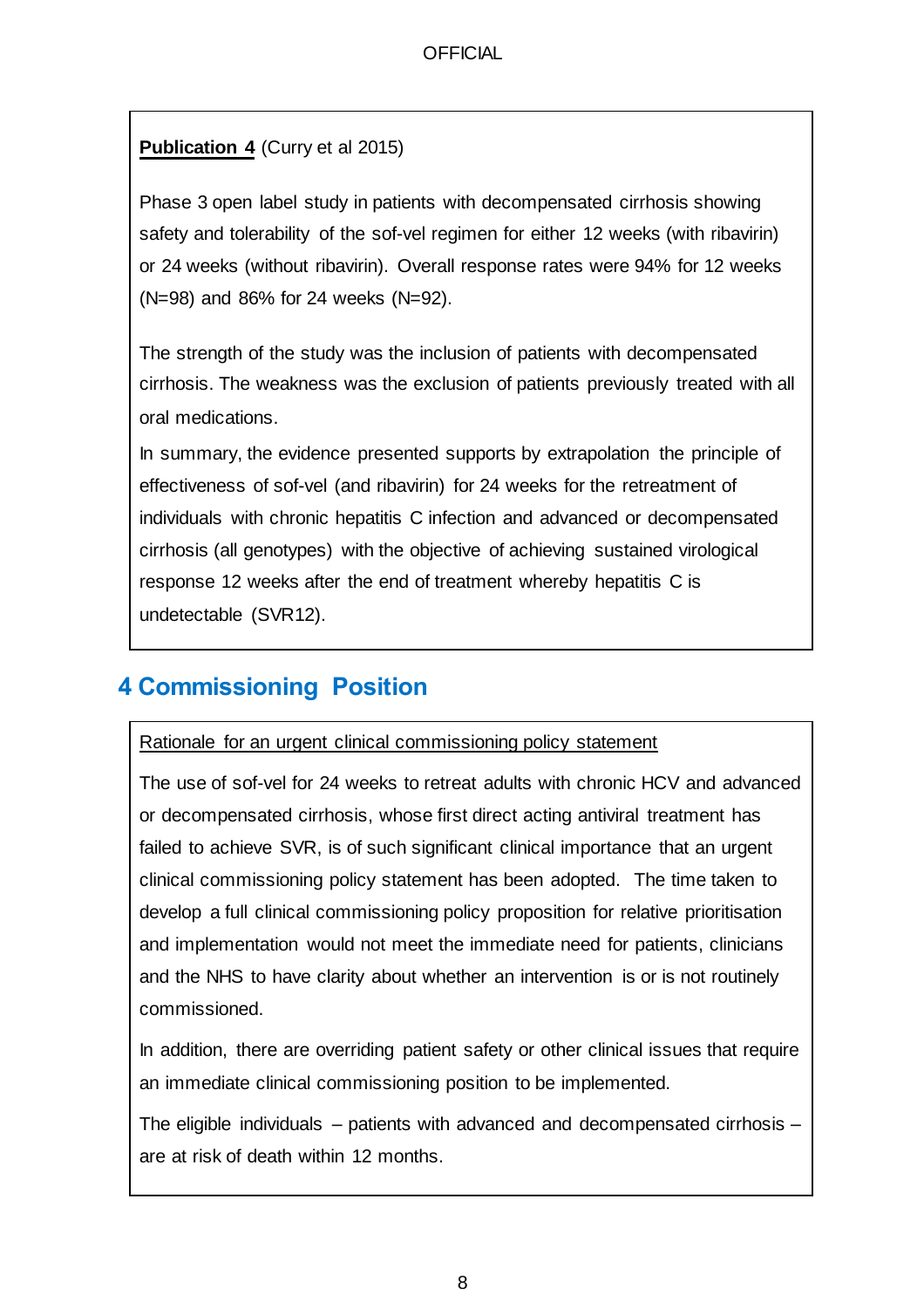## **Publication 4** (Curry et al 2015)

Phase 3 open label study in patients with decompensated cirrhosis showing safety and tolerability of the sof-vel regimen for either 12 weeks (with ribavirin) or 24 weeks (without ribavirin). Overall response rates were 94% for 12 weeks (N=98) and 86% for 24 weeks (N=92).

The strength of the study was the inclusion of patients with decompensated cirrhosis. The weakness was the exclusion of patients previously treated with all oral medications.

In summary, the evidence presented supports by extrapolation the principle of effectiveness of sof-vel (and ribavirin) for 24 weeks for the retreatment of individuals with chronic hepatitis C infection and advanced or decompensated cirrhosis (all genotypes) with the objective of achieving sustained virological response 12 weeks after the end of treatment whereby hepatitis C is undetectable (SVR12).

# **4 Commissioning Position**

#### Rationale for an urgent clinical commissioning policy statement

The use of sof-vel for 24 weeks to retreat adults with chronic HCV and advanced or decompensated cirrhosis, whose first direct acting antiviral treatment has failed to achieve SVR, is of such significant clinical importance that an urgent clinical commissioning policy statement has been adopted. The time taken to develop a full clinical commissioning policy proposition for relative prioritisation and implementation would not meet the immediate need for patients, clinicians and the NHS to have clarity about whether an intervention is or is not routinely commissioned.

In addition, there are overriding patient safety or other clinical issues that require an immediate clinical commissioning position to be implemented.

The eligible individuals – patients with advanced and decompensated cirrhosis – are at risk of death within 12 months.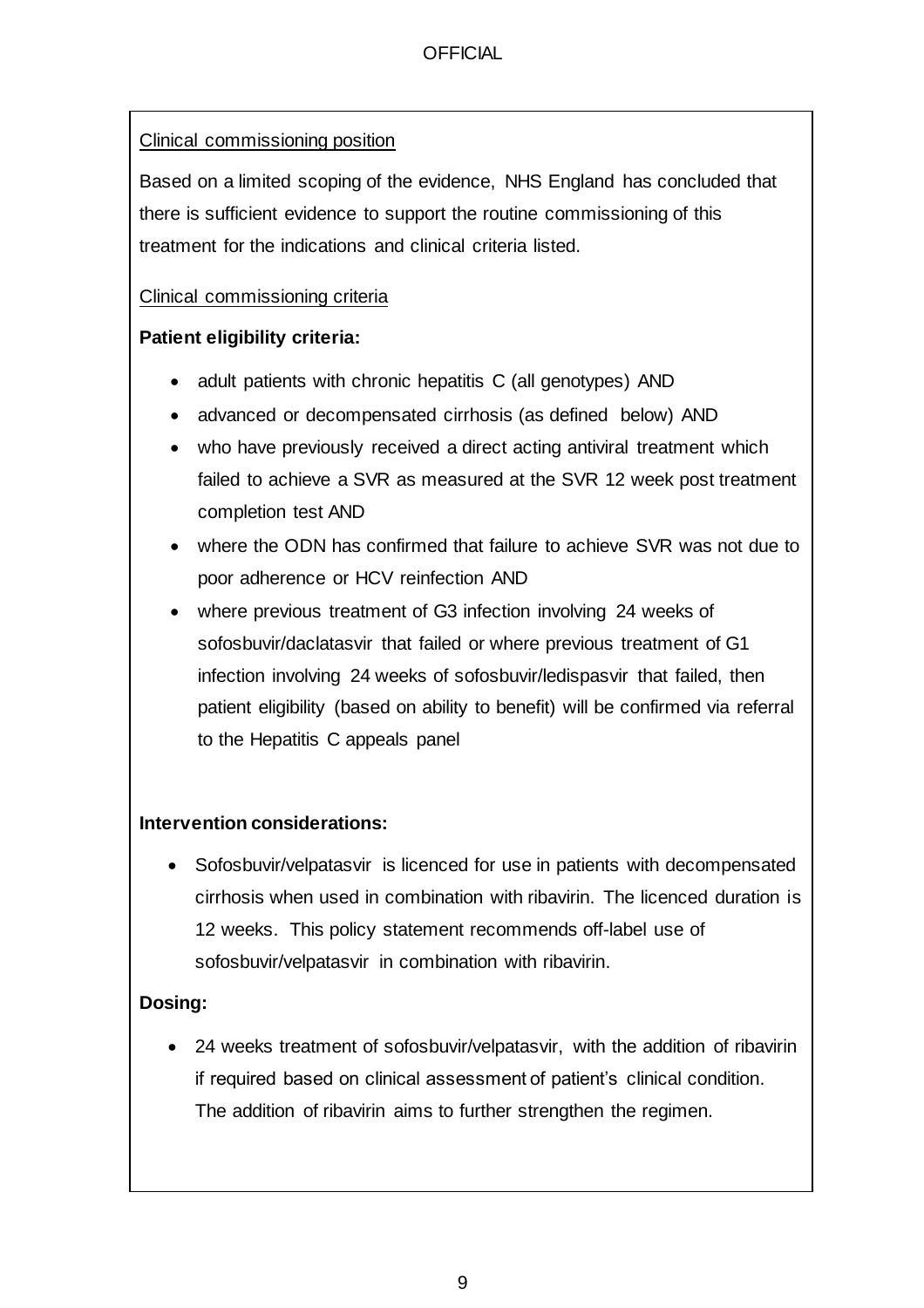## Clinical commissioning position

Based on a limited scoping of the evidence, NHS England has concluded that there is sufficient evidence to support the routine commissioning of this treatment for the indications and clinical criteria listed.

## Clinical commissioning criteria

## **Patient eligibility criteria:**

- adult patients with chronic hepatitis C (all genotypes) AND
- advanced or decompensated cirrhosis (as defined below) AND
- who have previously received a direct acting antiviral treatment which failed to achieve a SVR as measured at the SVR 12 week post treatment completion test AND
- where the ODN has confirmed that failure to achieve SVR was not due to poor adherence or HCV reinfection AND
- where previous treatment of G3 infection involving 24 weeks of sofosbuvir/daclatasvir that failed or where previous treatment of G1 infection involving 24 weeks of sofosbuvir/ledispasvir that failed, then patient eligibility (based on ability to benefit) will be confirmed via referral to the Hepatitis C appeals panel

## **Intervention considerations:**

Sofosbuvir/velpatasvir is licenced for use in patients with decompensated cirrhosis when used in combination with ribavirin. The licenced duration is 12 weeks. This policy statement recommends off-label use of sofosbuvir/velpatasvir in combination with ribavirin.

## **Dosing:**

• 24 weeks treatment of sofosbuvir/velpatasvir, with the addition of ribavirin if required based on clinical assessment of patient's clinical condition. The addition of ribavirin aims to further strengthen the regimen.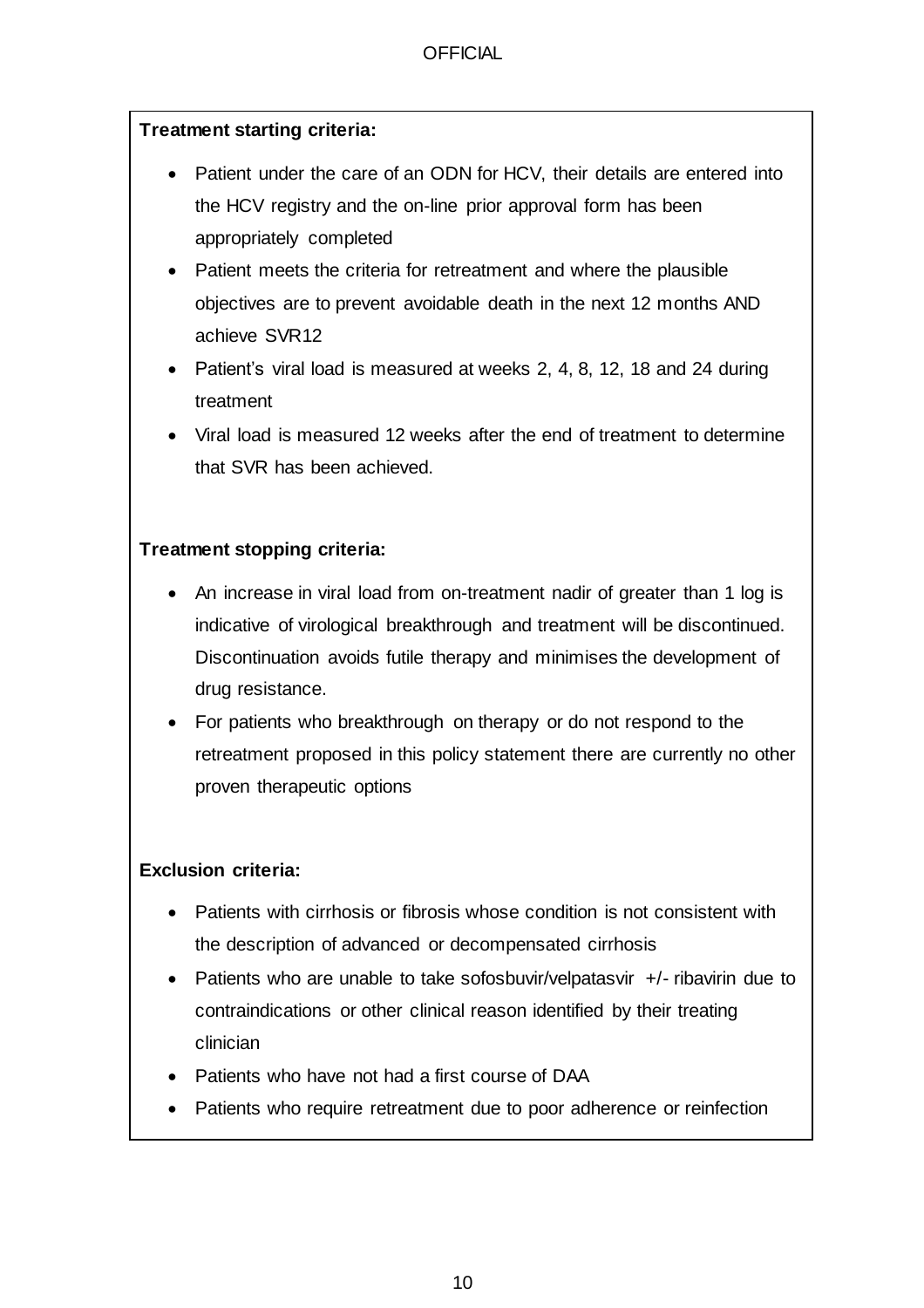### **Treatment starting criteria:**

- Patient under the care of an ODN for HCV, their details are entered into the HCV registry and the on-line prior approval form has been appropriately completed
- Patient meets the criteria for retreatment and where the plausible objectives are to prevent avoidable death in the next 12 months AND achieve SVR12
- Patient's viral load is measured at weeks 2, 4, 8, 12, 18 and 24 during treatment
- Viral load is measured 12 weeks after the end of treatment to determine that SVR has been achieved.

### **Treatment stopping criteria:**

- An increase in viral load from on-treatment nadir of greater than 1 log is indicative of virological breakthrough and treatment will be discontinued. Discontinuation avoids futile therapy and minimises the development of drug resistance.
- For patients who breakthrough on therapy or do not respond to the retreatment proposed in this policy statement there are currently no other proven therapeutic options

## **Exclusion criteria:**

- Patients with cirrhosis or fibrosis whose condition is not consistent with the description of advanced or decompensated cirrhosis
- Patients who are unable to take sofosbuvir/velpatasvir +/- ribavirin due to contraindications or other clinical reason identified by their treating clinician
- Patients who have not had a first course of DAA
- Patients who require retreatment due to poor adherence or reinfection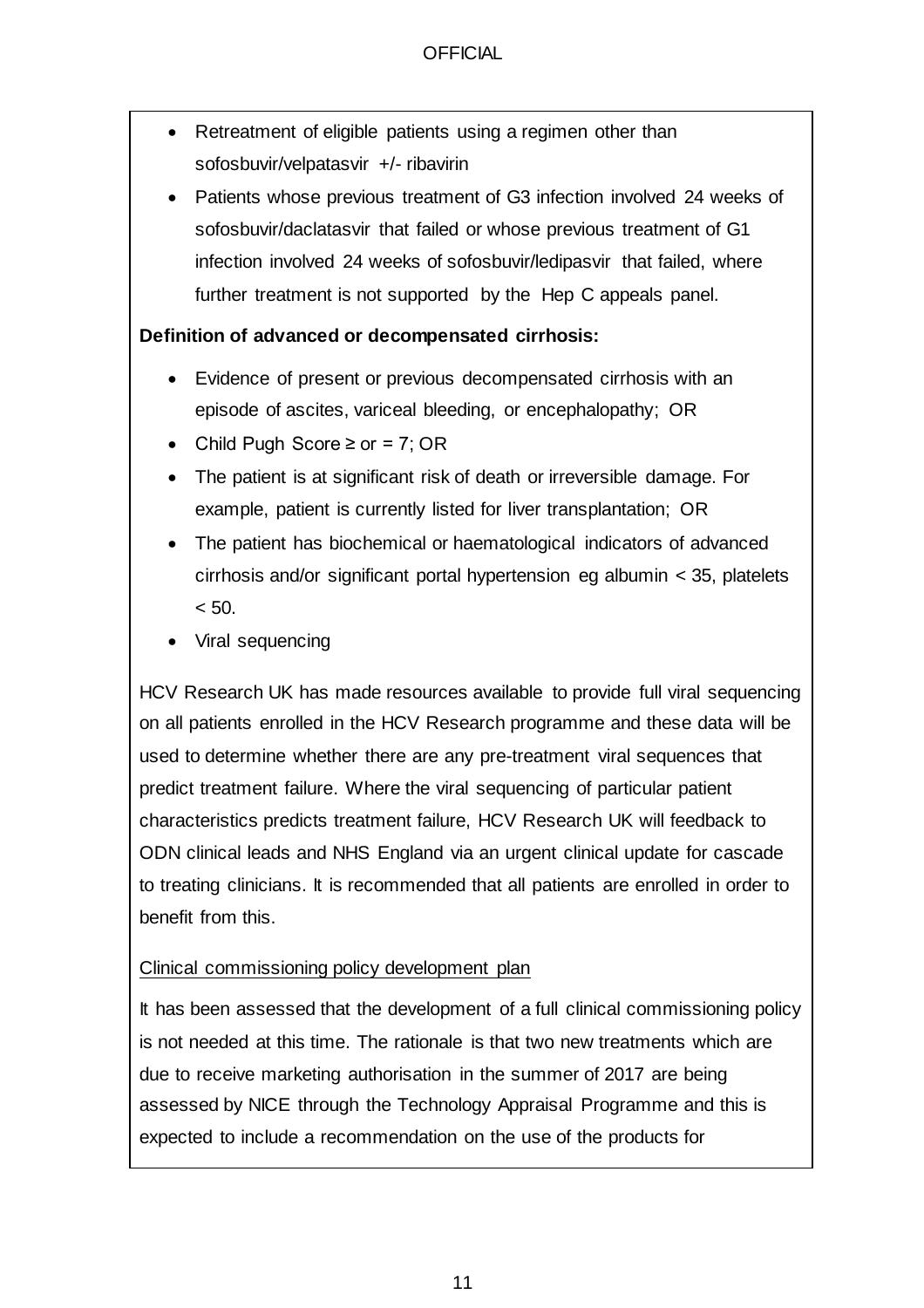- Retreatment of eligible patients using a regimen other than sofosbuvir/velpatasvir +/- ribavirin
- Patients whose previous treatment of G3 infection involved 24 weeks of sofosbuvir/daclatasvir that failed or whose previous treatment of G1 infection involved 24 weeks of sofosbuvir/ledipasvir that failed, where further treatment is not supported by the Hep C appeals panel.

#### **Definition of advanced or decompensated cirrhosis:**

- Evidence of present or previous decompensated cirrhosis with an episode of ascites, variceal bleeding, or encephalopathy; OR
- Child Pugh Score  $\geq$  or = 7; OR
- The patient is at significant risk of death or irreversible damage. For example, patient is currently listed for liver transplantation; OR
- The patient has biochemical or haematological indicators of advanced cirrhosis and/or significant portal hypertension eg albumin < 35, platelets  $< 50.$
- Viral sequencing

HCV Research UK has made resources available to provide full viral sequencing on all patients enrolled in the HCV Research programme and these data will be used to determine whether there are any pre-treatment viral sequences that predict treatment failure. Where the viral sequencing of particular patient characteristics predicts treatment failure, HCV Research UK will feedback to ODN clinical leads and NHS England via an urgent clinical update for cascade to treating clinicians. It is recommended that all patients are enrolled in order to benefit from this.

#### Clinical commissioning policy development plan

It has been assessed that the development of a full clinical commissioning policy is not needed at this time. The rationale is that two new treatments which are due to receive marketing authorisation in the summer of 2017 are being assessed by NICE through the Technology Appraisal Programme and this is expected to include a recommendation on the use of the products for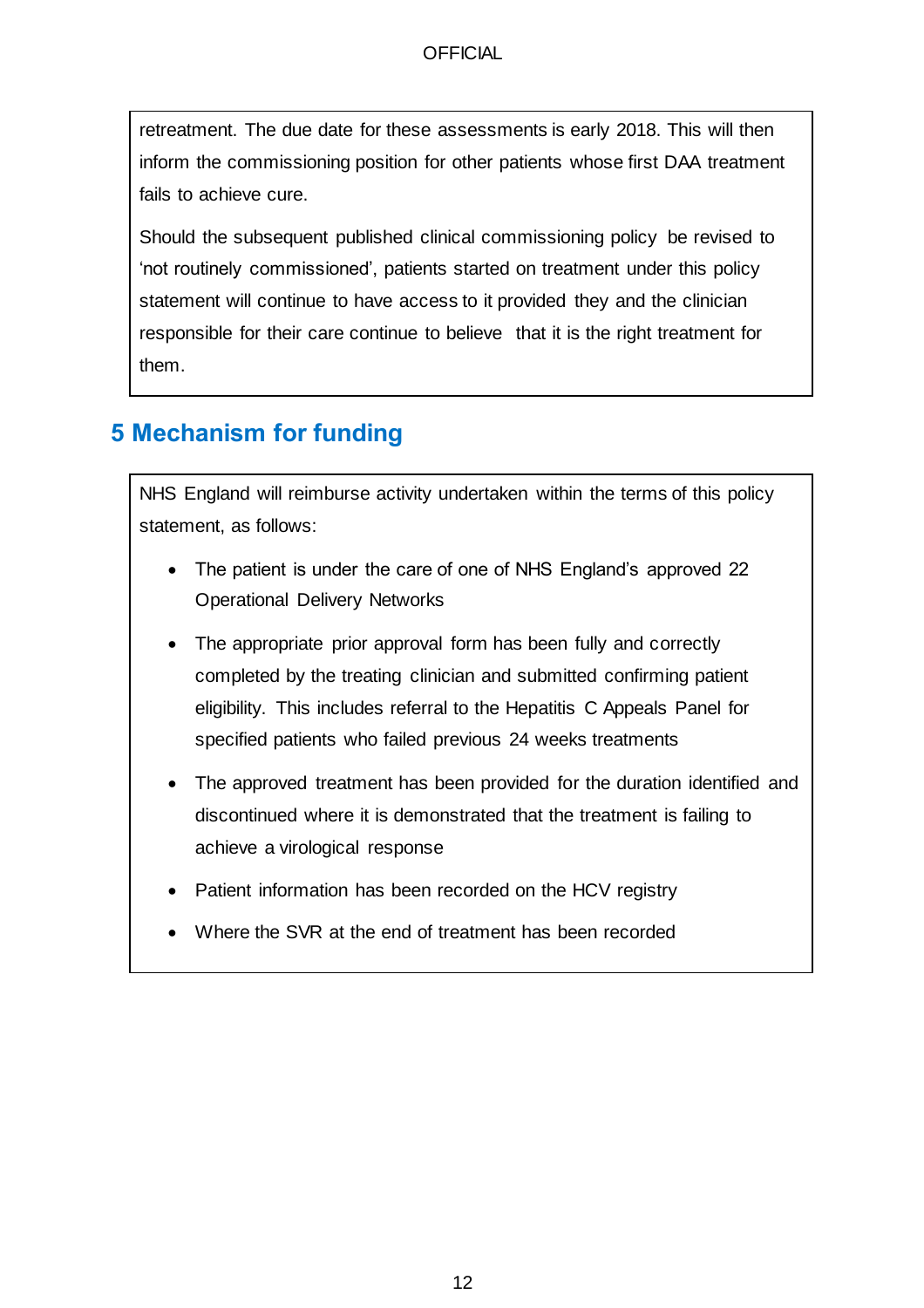retreatment. The due date for these assessments is early 2018. This will then inform the commissioning position for other patients whose first DAA treatment fails to achieve cure.

Should the subsequent published clinical commissioning policy be revised to 'not routinely commissioned', patients started on treatment under this policy statement will continue to have access to it provided they and the clinician responsible for their care continue to believe that it is the right treatment for them.

# **5 Mechanism for funding**

NHS England will reimburse activity undertaken within the terms of this policy statement, as follows:

- The patient is under the care of one of NHS England's approved 22 Operational Delivery Networks
- The appropriate prior approval form has been fully and correctly completed by the treating clinician and submitted confirming patient eligibility. This includes referral to the Hepatitis C Appeals Panel for specified patients who failed previous 24 weeks treatments
- The approved treatment has been provided for the duration identified and discontinued where it is demonstrated that the treatment is failing to achieve a virological response
- Patient information has been recorded on the HCV registry
- Where the SVR at the end of treatment has been recorded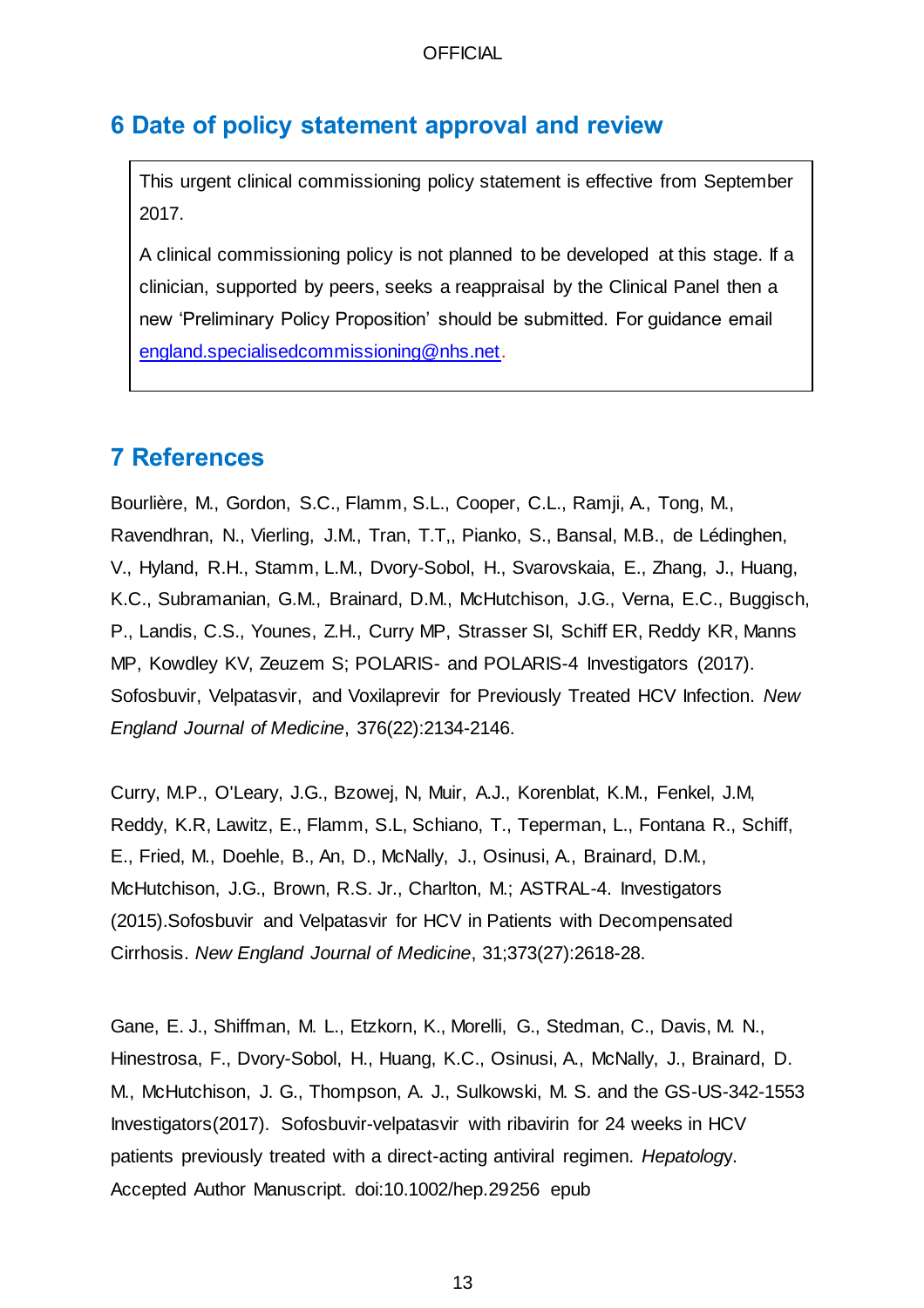## **6 Date of policy statement approval and review**

This urgent clinical commissioning policy statement is effective from September 2017.

A clinical commissioning policy is not planned to be developed at this stage. If a clinician, supported by peers, seeks a reappraisal by the Clinical Panel then a new 'Preliminary Policy Proposition' should be submitted. For guidance email [england.specialisedcommissioning@nhs.net.](mailto:england.specialisedcommissioning@nhs.net) 

## **7 References**

Bourlière, M., Gordon, S.C., Flamm, S.L., Cooper, C.L., Ramji, A., Tong, M., Ravendhran, N., Vierling, J.M., Tran, T.T,, Pianko, S., Bansal, M.B., de Lédinghen, V., Hyland, R.H., Stamm, L.M., Dvory-Sobol, H., Svarovskaia, E., Zhang, J., Huang, K.C., Subramanian, G.M., Brainard, D.M., McHutchison, J.G., Verna, E.C., Buggisch, P., Landis, C.S., Younes, Z.H., Curry MP, Strasser SI, Schiff ER, Reddy KR, Manns MP, Kowdley KV, Zeuzem S; POLARIS- and POLARIS-4 Investigators (2017). Sofosbuvir, Velpatasvir, and Voxilaprevir for Previously Treated HCV Infection. *New England Journal of Medicine*, 376(22):2134-2146.

Curry, M.P., O'Leary, J.G., Bzowej, N, Muir, A.J., Korenblat, K.M., Fenkel, J.M, Reddy, K.R, Lawitz, E., Flamm, S.L, Schiano, T., Teperman, L., Fontana R., Schiff, E., Fried, M., Doehle, B., An, D., McNally, J., Osinusi, A., Brainard, D.M., McHutchison, J.G., Brown, R.S. Jr., Charlton, M.; ASTRAL-4. Investigators (2015).Sofosbuvir and Velpatasvir for HCV in Patients with Decompensated Cirrhosis. *New England Journal of Medicine*, 31;373(27):2618-28.

Gane, E. J., Shiffman, M. L., Etzkorn, K., Morelli, G., Stedman, C., Davis, M. N., Hinestrosa, F., Dvory-Sobol, H., Huang, K.C., Osinusi, A., McNally, J., Brainard, D. M., McHutchison, J. G., Thompson, A. J., Sulkowski, M. S. and the GS-US-342-1553 Investigators(2017). Sofosbuvir-velpatasvir with ribavirin for 24 weeks in HCV patients previously treated with a direct-acting antiviral regimen. *Hepatolog*y. Accepted Author Manuscript. doi:10.1002/hep.29256 epub